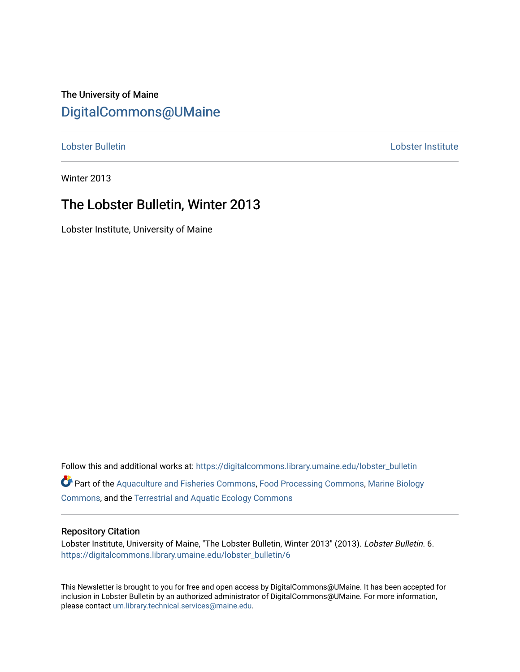## The University of Maine [DigitalCommons@UMaine](https://digitalcommons.library.umaine.edu/)

[Lobster Bulletin](https://digitalcommons.library.umaine.edu/lobster_bulletin) [Lobster Institute](https://digitalcommons.library.umaine.edu/lobster) 

Winter 2013

## The Lobster Bulletin, Winter 2013

Lobster Institute, University of Maine

Follow this and additional works at: [https://digitalcommons.library.umaine.edu/lobster\\_bulletin](https://digitalcommons.library.umaine.edu/lobster_bulletin?utm_source=digitalcommons.library.umaine.edu%2Flobster_bulletin%2F6&utm_medium=PDF&utm_campaign=PDFCoverPages) Part of the [Aquaculture and Fisheries Commons](http://network.bepress.com/hgg/discipline/78?utm_source=digitalcommons.library.umaine.edu%2Flobster_bulletin%2F6&utm_medium=PDF&utm_campaign=PDFCoverPages), [Food Processing Commons,](http://network.bepress.com/hgg/discipline/85?utm_source=digitalcommons.library.umaine.edu%2Flobster_bulletin%2F6&utm_medium=PDF&utm_campaign=PDFCoverPages) [Marine Biology](http://network.bepress.com/hgg/discipline/1126?utm_source=digitalcommons.library.umaine.edu%2Flobster_bulletin%2F6&utm_medium=PDF&utm_campaign=PDFCoverPages) [Commons](http://network.bepress.com/hgg/discipline/1126?utm_source=digitalcommons.library.umaine.edu%2Flobster_bulletin%2F6&utm_medium=PDF&utm_campaign=PDFCoverPages), and the [Terrestrial and Aquatic Ecology Commons](http://network.bepress.com/hgg/discipline/20?utm_source=digitalcommons.library.umaine.edu%2Flobster_bulletin%2F6&utm_medium=PDF&utm_campaign=PDFCoverPages) 

#### Repository Citation

Lobster Institute, University of Maine, "The Lobster Bulletin, Winter 2013" (2013). Lobster Bulletin. 6. [https://digitalcommons.library.umaine.edu/lobster\\_bulletin/6](https://digitalcommons.library.umaine.edu/lobster_bulletin/6?utm_source=digitalcommons.library.umaine.edu%2Flobster_bulletin%2F6&utm_medium=PDF&utm_campaign=PDFCoverPages)

This Newsletter is brought to you for free and open access by DigitalCommons@UMaine. It has been accepted for inclusion in Lobster Bulletin by an authorized administrator of DigitalCommons@UMaine. For more information, please contact [um.library.technical.services@maine.edu.](mailto:um.library.technical.services@maine.edu)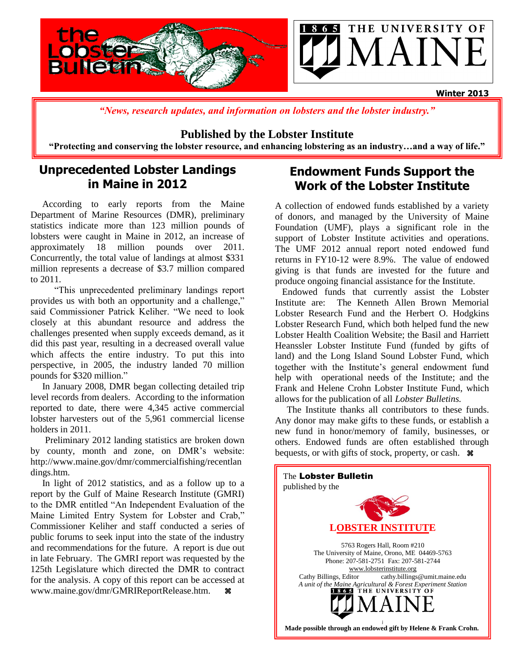

*"News, research updates, and information on lobsters and the lobster industry."*

### **Published by the Lobster Institute**

**"Protecting and conserving the lobster resource, and enhancing lobstering as an industry…and a way of life."**

## **Unprecedented Lobster Landings in Maine in 2012**

 According to early reports from the Maine Department of Marine Resources (DMR), preliminary statistics indicate more than 123 million pounds of lobsters were caught in Maine in 2012, an increase of approximately 18 million pounds over 2011. Concurrently, the total value of landings at almost \$331 million represents a decrease of \$3.7 million compared to 2011.

 "This unprecedented preliminary landings report provides us with both an opportunity and a challenge," said Commissioner Patrick Keliher. "We need to look closely at this abundant resource and address the challenges presented when supply exceeds demand, as it did this past year, resulting in a decreased overall value which affects the entire industry. To put this into perspective, in 2005, the industry landed 70 million pounds for \$320 million."

 In January 2008, DMR began collecting detailed trip level records from dealers. According to the information reported to date, there were 4,345 active commercial lobster harvesters out of the 5,961 commercial license holders in 2011.

 Preliminary 2012 landing statistics are broken down by county, month and zone, on DMR's website[:](http://www.maine.gov/dmr/commercialfishing/recentlandings.htm)  [http://www.maine.gov/dmr/commercialfishing/recentlan](http://www.maine.gov/dmr/commercialfishing/recentlandings.htm) [dings.htm.](http://www.maine.gov/dmr/commercialfishing/recentlandings.htm)

 In light of 2012 statistics, and as a follow up to a report by the Gulf of Maine Research Institute (GMRI) to the DMR entitled "An Independent Evaluation of the Maine Limited Entry System for Lobster and Crab," Commissioner Keliher and staff conducted a series of public forums to seek input into the state of the industry and recommendations for the future. A report is due out in late February. The GMRI report was requested by the 125th Legislature which directed the DMR to contract for the analysis. A copy of this report can be accessed at www.maine.gov/dmr/GMRIReportRelease.htm.

## **Endowment Funds Support the Work of the Lobster Institute**

A collection of endowed funds established by a variety of donors, and managed by the University of Maine Foundation (UMF), plays a significant role in the support of Lobster Institute activities and operations. The UMF 2012 annual report noted endowed fund returns in FY10-12 were 8.9%. The value of endowed giving is that funds are invested for the future and produce ongoing financial assistance for the Institute.

 Endowed funds that currently assist the Lobster Institute are: The Kenneth Allen Brown Memorial Lobster Research Fund and the Herbert O. Hodgkins Lobster Research Fund, which both helped fund the new Lobster Health Coalition Website; the Basil and Harriett Heanssler Lobster Institute Fund (funded by gifts of land) and the Long Island Sound Lobster Fund, which together with the Institute's general endowment fund help with operational needs of the Institute; and the Frank and Helene Crohn Lobster Institute Fund, which allows for the publication of all *Lobster Bulletins.*

 The Institute thanks all contributors to these funds. Any donor may make gifts to these funds, or establish a new fund in honor/memory of family, businesses, or others. Endowed funds are often established through bequests, or with gifts of stock, property, or cash.  $\mathcal{R}$ 

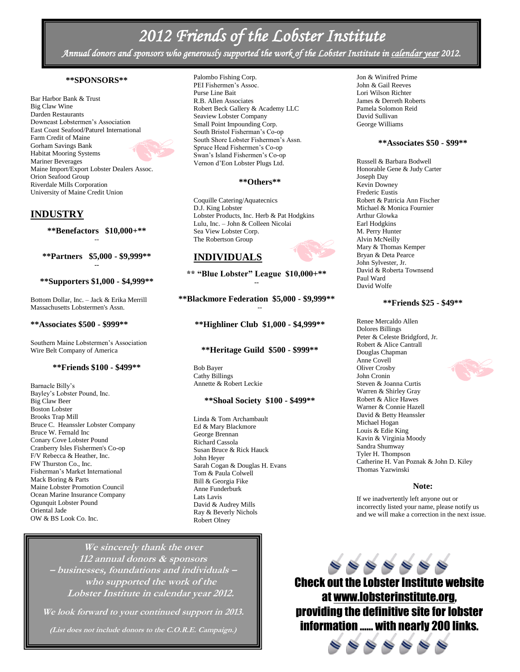## *2012 Friends of the Lobster Institute*

*Annual donors and sponsors who generously supported the work of the Lobster Institute in calendar year 2012.* 

#### **\*\*SPONSORS\*\***

Bar Harbor Bank & Trust Big Claw Wine Darden Restaurants Downeast Lobstermen's Association East Coast Seafood/Paturel International Farm Credit of Maine Gorham Savings Bank Habitat Mooring Systems Mariner Beverages Maine Import/Export Lobster Dealers Assoc. Orion Seafood Group Riverdale Mills Corporation University of Maine Credit Union

#### **INDUSTRY**

**\*\*Benefactors \$10,000+\*\*** --

**\*\*Partners \$5,000 - \$9,999\*\* --**

#### **\*\*Supporters \$1,000 - \$4,999\*\***

Bottom Dollar, Inc. – Jack & Erika Merrill Massachusetts Lobstermen's Assn.

#### **\*\*Associates \$500 - \$999\*\***

Southern Maine Lobstermen's Association Wire Belt Company of America

#### **\*\*Friends \$100 - \$499\*\***

Barnacle Billy's Bayley's Lobster Pound, Inc. Big Claw Beer Boston Lobster Brooks Trap Mill Bruce C. Heanssler Lobster Company Bruce W. Fernald Inc Conary Cove Lobster Pound Cranberry Isles Fishermen's Co-op F/V Rebecca & Heather, Inc. FW Thurston Co., Inc. Fisherman's Market International Mack Boring & Parts Maine Lobster Promotion Council Ocean Marine Insurance Company Ogunquit Lobster Pound Oriental Jade OW & BS Look Co. Inc.

Palombo Fishing Corp. PEI Fishermen's Assoc. Purse Line Bait R.B. Allen Associates Robert Beck Gallery & Academy LLC Seaview Lobster Company Small Point Impounding Corp. South Bristol Fisherman's Co-op South Shore Lobster Fishermen's Assn. Spruce Head Fishermen's Co-op Swan's Island Fishermen's Co-op Vernon d'Eon Lobster Plugs Ltd.

#### **\*\*Others\*\***

Coquille Catering/Aquatecnics D.J. King Lobster Lobster Products, Inc. Herb & Pat Hodgkins Lulu, Inc. – John & Colleen Nicolai Sea View Lobster Corp. The Robertson Group

#### **INDIVIDUALS**

**\*\* "Blue Lobster" League \$10,000+\*\* --**

#### **\*\*Blackmore Federation \$5,000 - \$9,999\*\*** --

**\*\*Highliner Club \$1,000 - \$4,999\*\***

#### **\*\*Heritage Guild \$500 - \$999\*\***

Bob Bayer Cathy Billings Annette & Robert Leckie

#### **\*\*Shoal Society \$100 - \$499\*\***

Linda & Tom Archambault Ed & Mary Blackmore George Brennan Richard Cassola Susan Bruce & Rick Hauck John Heyer Sarah Cogan & Douglas H. Evans Tom & Paula Colwell Bill & Georgia Fike Anne Funderburk Lats Lavis David & Audrey Mills Ray & Beverly Nichols Robert Olney

**We sincerely thank the over 112 annual donors & sponsors – businesses, foundations and individuals – who supported the work of the Lobster Institute in calendar year 2012.**

**We look forward to your continued support in 2013.**

**(List does not include donors to the C.O.R.E. Campaign.)**

Jon & Winifred Prime John & Gail Reeves Lori Wilson Richter James & Derreth Roberts Pamela Solomon Reid David Sullivan George Williams

#### **\*\*Associates \$50 - \$99\*\***

Russell & Barbara Bodwell Honorable Gene & Judy Carter Joseph Day Kevin Downey Frederic Eustis Robert & Patricia Ann Fischer Michael & Monica Fournier Arthur Glowka Earl Hodgkins M. Perry Hunter Alvin McNeilly Mary & Thomas Kemper Bryan & Deta Pearce John Sylvester, Jr. David & Roberta Townsend Paul Ward David Wolfe

#### **\*\*Friends \$25 - \$49\*\***

Renee Mercaldo Allen Dolores Billings Peter & Celeste Bridgford, Jr. Robert & Alice Cantrall Douglas Chapman Anne Covell Oliver Crosby John Cronin Steven & Joanna Curtis Warren & Shirley Gray Robert & Alice Hawes Warner & Connie Hazell David & Betty Heanssler Michael Hogan Louis & Edie King Kavin & Virginia Moody Sandra Shumway Tyler H. Thompson Catherine H. Van Poznak & John D. Kiley Thomas Yazwinski

#### **Note:**

If we inadvertently left anyone out or incorrectly listed your name, please notify us and we will make a correction in the next issue.



Check out the Lobster Institute website at [www.lobsterinstitute.org,](http://www.lobsterinstitute.org/) providing the definitive site for lobster information …… with nearly 200 links.

4444

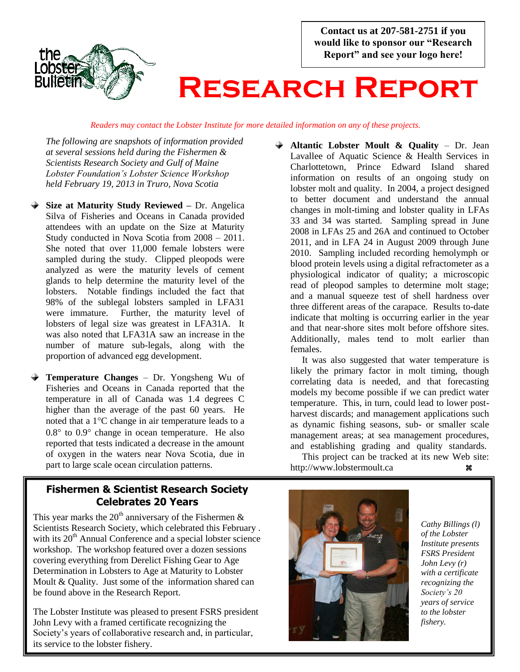**Contact us at 207-581-2751 if you would like to sponsor our "Research Report" and see your logo here!**



# **Research Report**

*Readers may contact the Lobster Institute for more detailed information on any of these projects.*

*The following are snapshots of information provided at several sessions held during the Fishermen & Scientists Research Society and Gulf of Maine Lobster Foundation's Lobster Science Workshop held February 19, 2013 in Truro, Nova Scotia*

- **Size at Maturity Study Reviewed –** Dr. Angelica Silva of Fisheries and Oceans in Canada provided attendees with an update on the Size at Maturity Study conducted in Nova Scotia from 2008 – 2011. She noted that over 11,000 female lobsters were sampled during the study. Clipped pleopods were analyzed as were the maturity levels of cement glands to help determine the maturity level of the lobsters. Notable findings included the fact that 98% of the sublegal lobsters sampled in LFA31 were immature. Further, the maturity level of lobsters of legal size was greatest in LFA31A. It was also noted that LFA31A saw an increase in the number of mature sub-legals, along with the proportion of advanced egg development.
- **Temperature Changes** Dr. Yongsheng Wu of Fisheries and Oceans in Canada reported that the temperature in all of Canada was 1.4 degrees C higher than the average of the past 60 years. He noted that a  $1^{\circ}$ C change in air temperature leads to a  $0.8^{\circ}$  to  $0.9^{\circ}$  change in ocean temperature. He also reported that tests indicated a decrease in the amount of oxygen in the waters near Nova Scotia, due in part to large scale ocean circulation patterns.

## **Fishermen & Scientist Research Society Celebrates 20 Years**

This year marks the  $20<sup>th</sup>$  anniversary of the Fishermen & Scientists Research Society, which celebrated this February . with its 20<sup>th</sup> Annual Conference and a special lobster science workshop. The workshop featured over a dozen sessions covering everything from Derelict Fishing Gear to Age Determination in Lobsters to Age at Maturity to Lobster Moult & Quality. Just some of the information shared can be found above in the Research Report.

The Lobster Institute was pleased to present FSRS president John Levy with a framed certificate recognizing the Society's years of collaborative research and, in particular, its service to the lobster fishery.

**Altantic Lobster Moult & Quality** – Dr. Jean Lavallee of Aquatic Science & Health Services in Charlottetown, Prince Edward Island shared information on results of an ongoing study on lobster molt and quality. In 2004, a project designed to better document and understand the annual changes in molt-timing and lobster quality in LFAs 33 and 34 was started. Sampling spread in June 2008 in LFAs 25 and 26A and continued to October 2011, and in LFA 24 in August 2009 through June 2010. Sampling included recording hemolymph or blood protein levels using a digital refractometer as a physiological indicator of quality; a microscopic read of pleopod samples to determine molt stage; and a manual squeeze test of shell hardness over three different areas of the carapace. Results to-date indicate that molting is occurring earlier in the year and that near-shore sites molt before offshore sites. Additionally, males tend to molt earlier than females.

It was also suggested that water temperature is likely the primary factor in molt timing, though correlating data is needed, and that forecasting models my become possible if we can predict water temperature. This, in turn, could lead to lower postharvest discards; and management applications such as dynamic fishing seasons, sub- or smaller scale management areas; at sea management procedures, and establishing grading and quality standards.*.*

 This project can be tracked at its new Web site: http://www.lobstermoult.ca



*Cathy Billings (l) of the Lobster Institute presents FSRS President John Levy (r) with a certificate recognizing the Society's 20 years of service to the lobster fishery.*